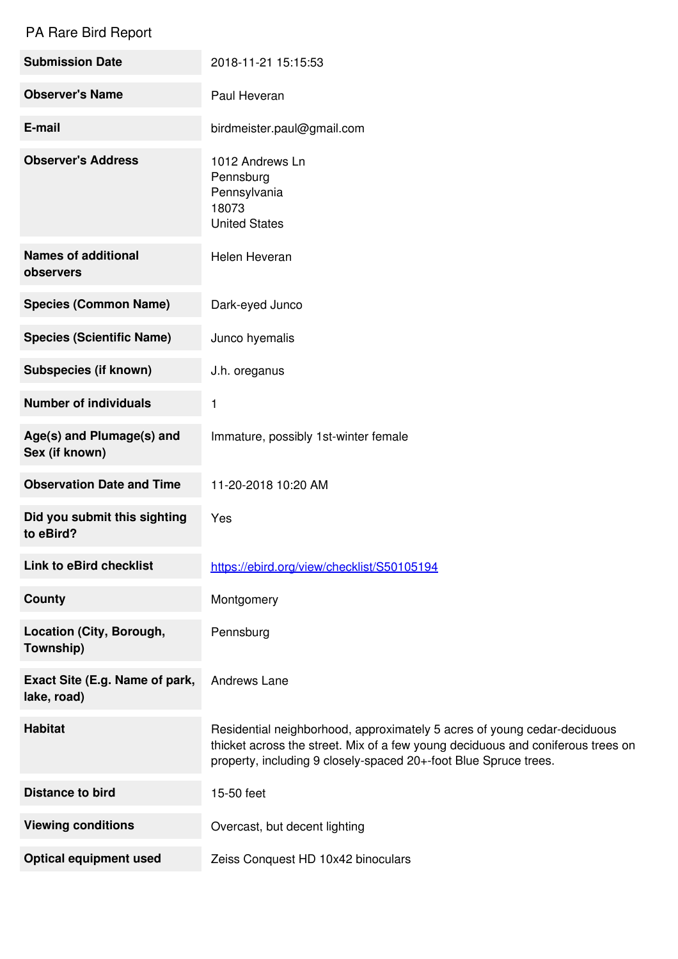## PA Rare Bird Report

| <b>Submission Date</b>                        | 2018-11-21 15:15:53                                                                                                                                                                                                             |
|-----------------------------------------------|---------------------------------------------------------------------------------------------------------------------------------------------------------------------------------------------------------------------------------|
| <b>Observer's Name</b>                        | Paul Heveran                                                                                                                                                                                                                    |
| E-mail                                        | birdmeister.paul@gmail.com                                                                                                                                                                                                      |
| <b>Observer's Address</b>                     | 1012 Andrews Ln<br>Pennsburg<br>Pennsylvania<br>18073<br><b>United States</b>                                                                                                                                                   |
| <b>Names of additional</b><br>observers       | Helen Heveran                                                                                                                                                                                                                   |
| <b>Species (Common Name)</b>                  | Dark-eyed Junco                                                                                                                                                                                                                 |
| <b>Species (Scientific Name)</b>              | Junco hyemalis                                                                                                                                                                                                                  |
| <b>Subspecies (if known)</b>                  | J.h. oreganus                                                                                                                                                                                                                   |
| <b>Number of individuals</b>                  | 1                                                                                                                                                                                                                               |
| Age(s) and Plumage(s) and<br>Sex (if known)   | Immature, possibly 1st-winter female                                                                                                                                                                                            |
| <b>Observation Date and Time</b>              | 11-20-2018 10:20 AM                                                                                                                                                                                                             |
| Did you submit this sighting<br>to eBird?     | Yes                                                                                                                                                                                                                             |
| Link to eBird checklist                       | https://ebird.org/view/checklist/S50105194                                                                                                                                                                                      |
| <b>County</b>                                 | Montgomery                                                                                                                                                                                                                      |
| Location (City, Borough,<br>Township)         | Pennsburg                                                                                                                                                                                                                       |
| Exact Site (E.g. Name of park,<br>lake, road) | Andrews Lane                                                                                                                                                                                                                    |
| <b>Habitat</b>                                | Residential neighborhood, approximately 5 acres of young cedar-deciduous<br>thicket across the street. Mix of a few young deciduous and coniferous trees on<br>property, including 9 closely-spaced 20+-foot Blue Spruce trees. |
| <b>Distance to bird</b>                       | 15-50 feet                                                                                                                                                                                                                      |
| <b>Viewing conditions</b>                     | Overcast, but decent lighting                                                                                                                                                                                                   |
| <b>Optical equipment used</b>                 | Zeiss Conquest HD 10x42 binoculars                                                                                                                                                                                              |